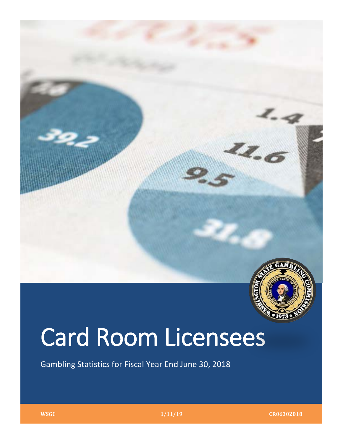

# Card Room Licensees

Gambling Statistics for Fiscal Year End June 30, 2018

**WSGC 1/11/19 CR06302018**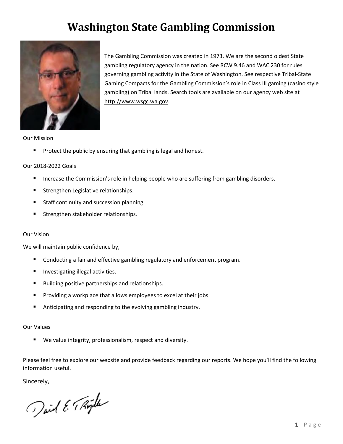# **Washington State Gambling Commission**



The Gambling Commission was created in 1973. We are the second oldest State gambling regulatory agency in the nation. See RCW 9.46 and WAC 230 for rules governing gambling activity in the State of Washington. See respective Tribal-State Gaming Compacts for the Gambling Commission's role in Class III gaming (casino style gambling) on Tribal lands. Search tools are available on our agency web site at [http://www.wsgc.wa.gov.](http://www.wsgc.wa.gov/)

Our Mission

**Protect the public by ensuring that gambling is legal and honest.** 

#### Our 2018-2022 Goals

- **Increase the Commission's role in helping people who are suffering from gambling disorders.**
- **Strengthen Legislative relationships.**
- **Staff continuity and succession planning.**
- Strengthen stakeholder relationships.

#### Our Vision

We will maintain public confidence by,

- **Conducting a fair and effective gambling regulatory and enforcement program.**
- **Investigating illegal activities.**
- **Building positive partnerships and relationships.**
- **Providing a workplace that allows employees to excel at their jobs.**
- Anticipating and responding to the evolving gambling industry.

#### Our Values

■ We value integrity, professionalism, respect and diversity.

Please feel free to explore our website and provide feedback regarding our reports. We hope you'll find the following information useful.

Sincerely,

Jail E. T. Rigilla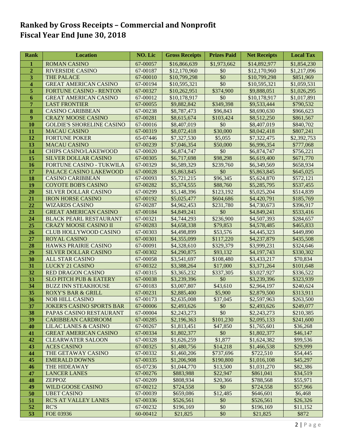# **Ranked by Gross Receipts – Commercial and Nonprofit Fiscal Year End June 30, 2018**

| Rank                    | <b>Location</b>                                        | <b>NO. Lic</b>       | <b>Gross Receipts</b>      | <b>Prizes Paid</b>    | <b>Net Receipts</b>        | <b>Local Tax</b>       |
|-------------------------|--------------------------------------------------------|----------------------|----------------------------|-----------------------|----------------------------|------------------------|
| $\mathbf{1}$            | <b>ROMAN CASINO</b>                                    | 67-00057             | \$16,866,639               | \$1,973,662           | \$14,892,977               | \$1,854,230            |
| $\overline{2}$          | <b>RIVERSIDE CASINO</b>                                | 67-00187             | \$12,170,960               | \$0                   | \$12,170,960               | \$1,217,096            |
| $\overline{\mathbf{3}}$ | THE PALACE                                             | 67-00010             | \$10,799,298               | \$0                   | \$10,799,298               | \$851,969              |
| 4                       | <b>GREAT AMERICAN CASINO</b>                           | 67-00194             | \$10,595,321               | \$0                   | \$10,595,321               | \$1,059,531            |
| 5                       | FORTUNE CASINO - RENTON                                | 67-00327             | \$10,262,951               | \$374,900             | \$9,888,051                | \$1,026,295            |
| 6                       | <b>GREAT AMERICAN CASINO</b>                           | 67-00012             | \$10,178,917               | \$0                   | \$10,178,917               | \$1,017,891            |
| 7                       | <b>LAST FRONTIER</b>                                   | 67-00055             | \$9,882,842                | \$349,398             | \$9,533,444                | \$790,532              |
| 8                       | <b>CASINO CARIBBEAN</b>                                | 67-00238             | \$8,787,473                | \$96,843              | \$8,690,630                | \$966,623              |
| $\boldsymbol{9}$        | <b>CRAZY MOOSE CASINO</b>                              | 67-00281             | \$8,615,674                | \$103,424             | \$8,512,250                | \$861,567              |
| 10                      | <b>GOLDIE'S SHORELINE CASINO</b>                       | 67-00016             | \$8,407,019                | \$0                   | \$8,407,019                | \$840,702              |
| 11                      | <b>MACAU CASINO</b>                                    | 67-00319             | \$8,072,418                | \$30,000              | \$8,042,418                | \$807,241              |
| 12                      | <b>FORTUNE POKER</b>                                   | 65-07446             | \$7,327,530                | \$5,055               | \$7,322,475                | \$2,392,753            |
| 13                      | <b>MACAU CASINO</b>                                    | 67-00239             | \$7,046,354                | \$50,000              | \$6,996,354                | \$777,068              |
| 14                      | <b>CHIPS CASINO/LAKEWOOD</b>                           | 67-00020             | \$6,874,747                | \$0                   | \$6,874,747                | \$756,221              |
| 15                      | SILVER DOLLAR CASINO                                   | 67-00305             | \$6,717,698                | \$98,298              | \$6,619,400                | \$671,770              |
| 16                      | <b>FORTUNE CASINO - TUKWILA</b>                        | 67-00329             | \$6,589,329                | \$239,760             | \$6,349,569                | \$658,934              |
| 17                      | PALACE CASINO LAKEWOOD                                 | 67-00028             | \$5,863,845                | \$0                   | \$5,863,845                | \$645,025              |
| 18                      | <b>CASINO CARIBBEAN</b>                                | 67-00093             | \$5,721,215                | \$96,345              | \$5,624,870                | \$572,121              |
| 19                      | <b>COYOTE BOB'S CASINO</b>                             | 67-00282             | \$5,374,555                | \$88,760              | \$5,285,795                | \$537,455              |
| 20                      | SILVER DOLLAR CASINO                                   | 67-00299             | \$5,148,396                | \$123,192             | \$5,025,204                | \$514,839              |
| 21                      | <b>IRON HORSE CASINO</b>                               | 67-00192             | \$5,025,477                | \$604,686             | \$4,420,791                | \$185,769              |
| 22                      | <b>WIZARDS CASINO</b>                                  | 67-00287             | \$4,962,453                | \$231,780             | \$4,730,673                | \$396,917              |
| 23                      | <b>GREAT AMERICAN CASINO</b>                           | 67-00184             | \$4,849,241                | \$0                   | \$4,849,241                | \$533,416              |
| 24                      | <b>BLACK PEARL RESTAURANT</b>                          | 67-00321             | \$4,744,293                | \$236,900             | \$4,507,393                | \$284,657              |
| 25                      | <b>CRAZY MOOSE CASINO II</b>                           | 67-00283             | \$4,658,338                | \$79,853              | \$4,578,485                | \$465,833              |
| 26                      | CLUB HOLLYWOOD CASINO                                  | 67-00303             | \$4,498,899                | \$53,576              | \$4,445,323                | \$449,890              |
| 27                      | <b>ROYAL CASINO</b>                                    | 67-00301             | \$4,355,099                | \$117,220             | \$4,237,879                | \$435,508              |
| 28                      | HAWKS PRAIRIE CASINO                                   | 67-00091             | \$4,328,610                | \$329,379             | \$3,999,231                | \$324,646              |
| 29                      | SILVER DOLLAR CASINO                                   | 67-00302             | \$4,290,875                | \$93,132              | \$4,197,743                | \$330,302              |
| 30                      | ALL STAR CASINO                                        | 67-00058             | \$3,541,697                | \$108,480             | \$3,433,217                | \$70,834               |
| 31                      | LUCKY 21 CASINO                                        | 67-00322             | \$3,388,264                | \$17,000<br>\$337,305 | \$3,371,264<br>\$3,027,927 | \$101,648              |
| 32<br>33                | RED DRAGON CASINO<br><b>SLO PITCH PUB &amp; EATERY</b> | 67-00315<br>67-00038 | \$3,365,232<br>\$3,239,396 | \$0                   | \$3,239,396                | \$336,522<br>\$323,939 |
| 34                      | <b>BUZZ INN STEAKHOUSE</b>                             | 67-00183             | \$3,007,807                | \$43,610              | \$2,964,197                | \$240,624              |
| 35                      | <b>ROXY'S BAR &amp; GRILL</b>                          | 67-00231             | \$2,885,400                | $\overline{$}5,900$   | \$2,879,500                | \$313,911              |
| 36                      | <b>NOB HILL CASINO</b>                                 | 67-00173             | \$2,635,008                | \$37,045              | \$2,597,963                | \$263,500              |
| 37                      | <b>JOKER'S CASINO SPORTS BAR</b>                       | 67-00006             | \$2,493,626                | \$0                   | \$2,493,626                | \$249,077              |
| 38                      | PAPAS CASINO RESTAURANT                                | 67-00004             | \$2,243,273                | \$0                   | \$2,243,273                | \$210,385              |
| 39                      | <b>CARIBBEAN CARDROOM</b>                              | 67-00285             | \$2,196,363                | \$101,230             | \$2,095,133                | \$241,600              |
| 40                      | <b>LILAC LANES &amp; CASINO</b>                        | 67-00267             | \$1,813,451                | \$47,850              | \$1,765,601                | \$36,268               |
| 41                      | <b>GREAT AMERICAN CASINO</b>                           | 67-00334             | \$1,802,377                | \$0                   | \$1,802,377                | \$46,147               |
| 42                      | <b>CLEARWATER SALOON</b>                               | 67-00328             | \$1,626,259                | \$1,877               | \$1,624,382                | \$99,536               |
| 43                      | <b>ACES CASINO</b>                                     | 67-00325             | \$1,480,756                | \$14,218              | \$1,466,538                | \$29,999               |
| 44                      | THE GETAWAY CASINO                                     | 67-00332             | \$1,460,206                | \$737,696             | \$722,510                  | \$54,445               |
| 45                      | <b>EMERALD DOWNS</b>                                   | 67-00335             | \$1,206,908                | \$190,800             | \$1,016,108                | \$45,297               |
| 46                      | THE HIDEAWAY                                           | 65-07236             | \$1,044,770                | \$13,500              | \$1,031,270                | \$82,386               |
| 47                      | <b>LANCER LANES</b>                                    | 67-00276             | \$883,988                  | \$22,947              | \$861,041                  | \$34,519               |
| 48                      | <b>ZEPPOZ</b>                                          | 67-00209             | \$808,934                  | \$20,366              | \$788,568                  | \$55,971               |
| 49                      | <b>WILD GOOSE CASINO</b>                               | 67-00212             | \$724,558                  | \$0                   | \$724,558                  | \$57,966               |
| 50                      | <b>UBET CASINO</b>                                     | 67-00039             | \$659,086                  | \$12,485              | \$646,601                  | \$6,468                |
| 51                      | RC'S AT VALLEY LANES                                   | 67-00336             | \$526,561                  | \$0                   | \$526,561                  | \$26,326               |
| 52                      | <b>RC'S</b>                                            | 67-00232             | \$196,169                  | \$0                   | \$196,169                  | \$11,152               |
| 53                      | FOE 03936                                              | 60-00412             | \$21,825                   | \$0                   | \$21,825                   | \$872                  |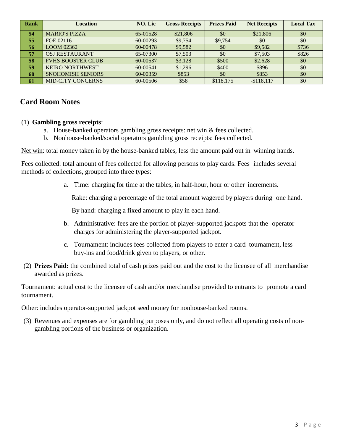| <b>Rank</b> | <b>Location</b>          | NO. Lic  | <b>Gross Receipts</b> | <b>Prizes Paid</b> | <b>Net Receipts</b> | <b>Local Tax</b> |
|-------------|--------------------------|----------|-----------------------|--------------------|---------------------|------------------|
| 54          | <b>MARIO'S PIZZA</b>     | 65-01528 | \$21,806              | \$0                | \$21,806            | \$0              |
| 55          | FOE 02116                | 60-00293 | \$9,754               | \$9,754            | \$0                 | \$0              |
| 56          | LOOM 02362               | 60-00478 | \$9,582               | \$0                | \$9,582             | \$736            |
| 57          | <b>OSJ RESTAURANT</b>    | 65-07300 | \$7,503               | \$0                | \$7,503             | \$826            |
| 58          | <b>FVHS BOOSTER CLUB</b> | 60-00537 | \$3,128               | \$500              | \$2,628             | \$0              |
| 59          | <b>KEIRO NORTHWEST</b>   | 60-00541 | \$1,296               | \$400              | \$896               | \$0              |
| 60          | <b>SNOHOMISH SENIORS</b> | 60-00359 | \$853                 | \$0                | \$853               | \$0              |
| -61         | <b>MID-CITY CONCERNS</b> | 60-00506 | \$58                  | \$118,175          | $-$ \$118,117       | \$0              |

#### **Card Room Notes**

#### (1) **Gambling gross receipts**:

- a. House-banked operators gambling gross receipts: net win & fees collected.
- b. Nonhouse-banked/social operators gambling gross receipts: fees collected.

Net win: total money taken in by the house-banked tables, less the amount paid out in winning hands.

Fees collected: total amount of fees collected for allowing persons to play cards. Fees includes several methods of collections, grouped into three types:

a. Time: charging for time at the tables, in half-hour, hour or other increments.

Rake: charging a percentage of the total amount wagered by players during one hand.

By hand: charging a fixed amount to play in each hand.

- b. Administrative: fees are the portion of player-supported jackpots that the operator charges for administering the player-supported jackpot.
- c. Tournament: includes fees collected from players to enter a card tournament, less buy-ins and food/drink given to players, or other.
- (2) **Prizes Paid:** the combined total of cash prizes paid out and the cost to the licensee of all merchandise awarded as prizes.

Tournament: actual cost to the licensee of cash and/or merchandise provided to entrants to promote a card tournament.

Other: includes operator-supported jackpot seed money for nonhouse-banked rooms.

(3) Revenues and expenses are for gambling purposes only, and do not reflect all operating costs of nongambling portions of the business or organization.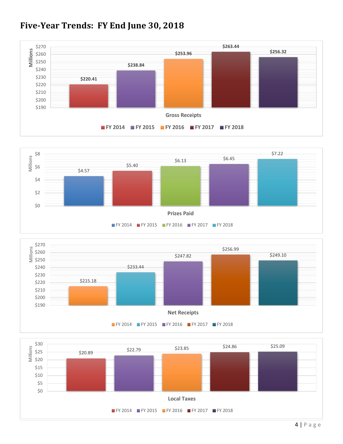

# **Five-Year Trends: FY End June 30, 2018**